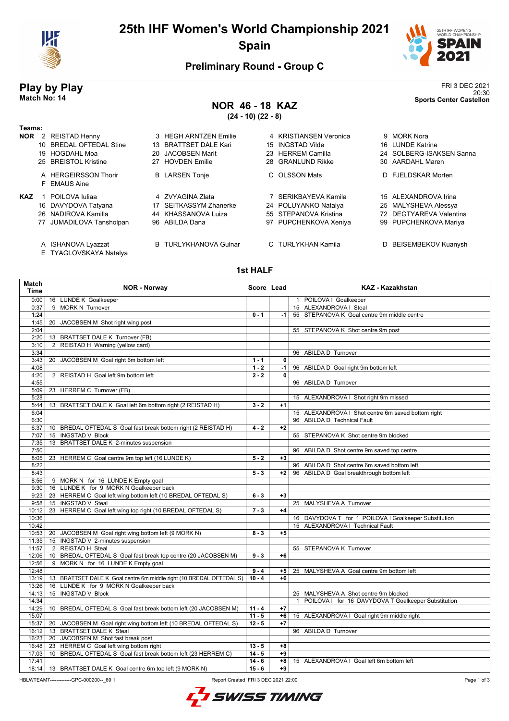

## **25th IHF Women's World Championship 2021 Spain**



20:30 **Match No: 14 Sports Center Castellon**

## **Preliminary Round - Group C**

# **Play by Play**<br>Match No: 14<br>Sports Center Castellon

# **NOR 46 - 18 KAZ**

**(24 - 10) (22 - 8)**

| Teams:     |                                      |                              |                        |                          |
|------------|--------------------------------------|------------------------------|------------------------|--------------------------|
| <b>NOR</b> | 2 REISTAD Henny                      | 3 HEGH ARNTZEN Emilie        | 4 KRISTIANSEN Veronica | 9 MORK Nora              |
|            | 10 BREDAL OFTEDAL Stine              | 13 BRATTSET DALE Kari        | 15 INGSTAD Vilde       | 16 LUNDE Katrine         |
|            | 19 HOGDAHL Moa                       | 20 JACOBSEN Marit            | 23 HERREM Camilla      | 24 SOLBERG-ISAKSEN Sanna |
|            | 25 BREISTOL Kristine                 | 27 HOVDEN Emilie             | 28 GRANLUND Rikke      | 30 AARDAHL Maren         |
|            | A HERGEIRSSON Thorir<br>F EMAUS Aine | <b>B</b> LARSEN Tonje        | C OLSSON Mats          | D FJELDSKAR Morten       |
| KAZ        | POILOVA Iuliaa                       | 4 ZVYAGINA Zlata             | 7 SERIKBAYEVA Kamila   | 15 ALEXANDROVA Irina     |
|            | 16 DAVYDOVA Tatyana                  | 17 SEITKASSYM Zhanerke       | 24 POLUYANKO Natalya   | 25 MALYSHEVA Alessya     |
|            | 26 NADIROVA Kamilla                  | 44 KHASSANOVA Luiza          | 55 STEPANOVA Kristina  | 72 DEGTYAREVA Valentina  |
|            | 77 JUMADILOVA Tansholpan             | 96 ABILDA Dana               | 97 PUPCHENKOVA Xeniya  | 99 PUPCHENKOVA Mariya    |
|            | A ISHANOVA Lyazzat                   | <b>B</b> TURLYKHANOVA Gulnar | C TURLYKHAN Kamila     | D BEISEMBEKOV Kuanysh    |

E TYAGLOVSKAYA Natalya

#### **1st HALF**

| Match<br><b>Time</b> | <b>NOR - Norway</b>                                                                           | Score Lead |      | <b>KAZ - Kazakhstan</b>                               |  |
|----------------------|-----------------------------------------------------------------------------------------------|------------|------|-------------------------------------------------------|--|
| 0:00                 | 16 LUNDE K Goalkeeper                                                                         |            |      | 1 POILOVA I Goalkeeper                                |  |
| 0:37                 | 9 MORK N Turnover                                                                             |            |      | 15 ALEXANDROVA I Steal                                |  |
| 1:24                 |                                                                                               | $0 - 1$    | $-1$ | 55 STEPANOVA K Goal centre 9m middle centre           |  |
| 1:45                 | 20 JACOBSEN M Shot right wing post                                                            |            |      |                                                       |  |
| 2:04                 |                                                                                               |            |      | 55 STEPANOVA K Shot centre 9m post                    |  |
| 2:20                 | 13 BRATTSET DALE K Turnover (FB)                                                              |            |      |                                                       |  |
| 3:10                 | 2 REISTAD H Warning (yellow card)                                                             |            |      |                                                       |  |
| 3:34                 |                                                                                               |            |      | 96 ABILDA D Turnover                                  |  |
| 3:43                 | 20 JACOBSEN M Goal right 6m bottom left                                                       | $1 - 1$    | 0    |                                                       |  |
| 4:08                 |                                                                                               | $1 - 2$    | -1   | 96 ABILDA D Goal right 9m bottom left                 |  |
| 4:20                 | 2 REISTAD H Goal left 9m bottom left                                                          | $2 - 2$    | 0    |                                                       |  |
| 4:55                 |                                                                                               |            |      | 96 ABILDA D Turnover                                  |  |
| 5:09                 | 23 HERREM C Turnover (FB)                                                                     |            |      |                                                       |  |
| 5:28                 |                                                                                               |            |      | 15 ALEXANDROVA I Shot right 9m missed                 |  |
| 5:44                 | 13 BRATTSET DALE K Goal left 6m bottom right (2 REISTAD H)                                    | $3 - 2$    | $+1$ |                                                       |  |
| 6:04                 |                                                                                               |            |      | 15 ALEXANDROVA I Shot centre 6m saved bottom right    |  |
| 6:30                 |                                                                                               |            |      | 96 ABILDA D Technical Fault                           |  |
| 6:37                 | 10 BREDAL OFTEDAL S Goal fast break bottom right (2 REISTAD H)                                | $4 - 2$    | $+2$ |                                                       |  |
| 7:07                 | 15 INGSTAD V Block                                                                            |            |      | 55 STEPANOVA K Shot centre 9m blocked                 |  |
| 7:35                 | 13 BRATTSET DALE K 2-minutes suspension                                                       |            |      |                                                       |  |
| 7:50                 |                                                                                               |            |      | 96 ABILDA D Shot centre 9m saved top centre           |  |
| 8:05                 | 23 HERREM C Goal centre 9m top left (16 LUNDE K)                                              | $5 - 2$    | $+3$ |                                                       |  |
| 8:22                 |                                                                                               |            |      | 96 ABILDA D Shot centre 6m saved bottom left          |  |
| 8:43                 |                                                                                               | $5 - 3$    | $+2$ | 96 ABILDA D Goal breakthrough bottom left             |  |
| 8:56                 | 9 MORK N for 16 LUNDE K Empty goal                                                            |            |      |                                                       |  |
| 9:30                 | 16 LUNDE K for 9 MORK N Goalkeeper back                                                       |            |      |                                                       |  |
| 9:23                 | 23 HERREM C Goal left wing bottom left (10 BREDAL OFTEDAL S)                                  | $6 - 3$    | $+3$ |                                                       |  |
| 9:58                 | 15 INGSTAD V Steal                                                                            |            |      | 25 MALYSHEVA A Turnover                               |  |
| 10:12                | 23 HERREM C Goal left wing top right (10 BREDAL OFTEDAL S)                                    | $7 - 3$    | $+4$ |                                                       |  |
| 10:36                |                                                                                               |            |      | 16 DAVYDOVA T for 1 POILOVA I Goalkeeper Substitution |  |
| 10:42                |                                                                                               |            |      | 15 ALEXANDROVA   Technical Fault                      |  |
|                      | 10:53   20 JACOBSEN M Goal right wing bottom left (9 MORK N)                                  | $8 - 3$    | $+5$ |                                                       |  |
| 11:35                | 15 INGSTAD V 2-minutes suspension                                                             |            |      |                                                       |  |
| 11:57                | 2 REISTAD H Steal                                                                             |            |      | 55 STEPANOVA K Turnover                               |  |
| 12:06                | 10 BREDAL OFTEDAL S Goal fast break top centre (20 JACOBSEN M)                                | $9 - 3$    | $+6$ |                                                       |  |
| 12:56                | 9 MORK N for 16 LUNDE K Empty goal                                                            |            |      |                                                       |  |
| 12:48                |                                                                                               | $9 - 4$    | $+5$ | 25 MALYSHEVA A Goal centre 9m bottom left             |  |
| 13:19                | 13 BRATTSET DALE K Goal centre 6m middle right (10 BREDAL OFTEDAL S)                          | $10 - 4$   | $+6$ |                                                       |  |
| 13:26                | 16 LUNDE K for 9 MORK N Goalkeeper back                                                       |            |      |                                                       |  |
| 14:13                | 15 INGSTAD V Block                                                                            |            |      | 25 MALYSHEVA A Shot centre 9m blocked                 |  |
|                      |                                                                                               |            |      |                                                       |  |
| 14:34                |                                                                                               |            |      | 1 POILOVA I for 16 DAVYDOVA T Goalkeeper Substitution |  |
| 14:29                | 10 BREDAL OFTEDAL S Goal fast break bottom left (20 JACOBSEN M)                               | $11 - 4$   | $+7$ |                                                       |  |
| 15:07                |                                                                                               | $11 - 5$   | +6   | 15 ALEXANDROVA I Goal right 9m middle right           |  |
| 15:37                | 20 JACOBSEN M Goal right wing bottom left (10 BREDAL OFTEDAL S)                               | $12 - 5$   | $+7$ |                                                       |  |
| 16:12                | 13 BRATTSET DALE K Steal                                                                      |            |      | 96 ABILDA D Turnover                                  |  |
| 16:23                | 20 JACOBSEN M Shot fast break post                                                            |            |      |                                                       |  |
| 16:48                | 23 HERREM C Goal left wing bottom right                                                       | $13 - 5$   | $+8$ |                                                       |  |
| 17:03                | 10 BREDAL OFTEDAL S Goal fast break bottom left (23 HERREM C)                                 | $14 - 5$   | +9   |                                                       |  |
| 17:41                |                                                                                               | $14 - 6$   | $+8$ | 15 ALEXANDROVA I Goal left 6m bottom left             |  |
| 18:14                | 13 BRATTSET DALE K Goal centre 6m top left (9 MORK N)                                         | $15 - 6$   | $+9$ |                                                       |  |
|                      | HBLWTEAM7-------------GPC-000200-- 69 1<br>Report Created FRI 3 DEC 2021 22:00<br>Page 1 of 3 |            |      |                                                       |  |

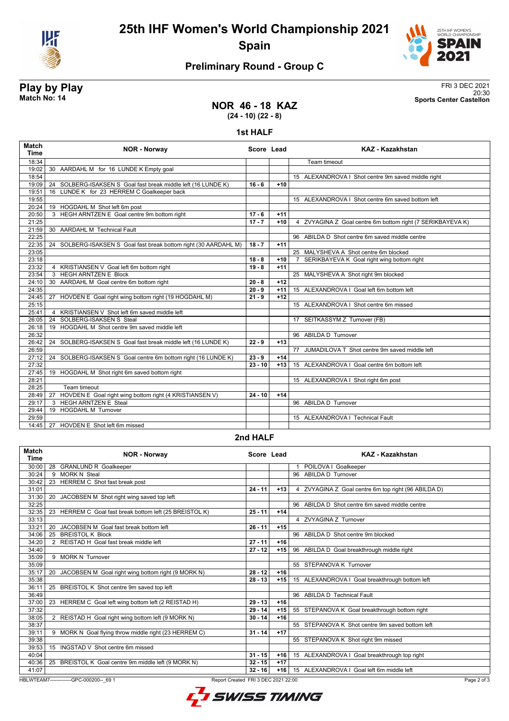

**25th IHF Women's World Championship 2021 Spain**



20:30 **Match No: 14 Sports Center Castellon**

## **Preliminary Round - Group C**

# **Play by Play**<br>Match No: 14<br>Sports Center Castellon

**NOR 46 - 18 KAZ (24 - 10) (22 - 8)**

**1st HALF**

| Match<br><b>Time</b> | <b>NOR - Norway</b>                                                 | Score Lead |       | <b>KAZ - Kazakhstan</b>                                    |
|----------------------|---------------------------------------------------------------------|------------|-------|------------------------------------------------------------|
| 18:34                |                                                                     |            |       | Team timeout                                               |
| 19:02                | 30 AARDAHL M for 16 LUNDE K Empty goal                              |            |       |                                                            |
| 18:54                |                                                                     |            |       | 15 ALEXANDROVA I Shot centre 9m saved middle right         |
| 19:09                | 24 SOLBERG-ISAKSEN S Goal fast break middle left (16 LUNDE K)       | $16 - 6$   | $+10$ |                                                            |
| 19:51                | 16 LUNDE K for 23 HERREM C Goalkeeper back                          |            |       |                                                            |
| 19:55                |                                                                     |            |       | 15 ALEXANDROVA I Shot centre 6m saved bottom left          |
| 20:24                | 19 HOGDAHL M Shot left 6m post                                      |            |       |                                                            |
| 20:50                | 3 HEGH ARNTZEN E Goal centre 9m bottom right                        | $17 - 6$   | $+11$ |                                                            |
| 21:25                |                                                                     | $17 - 7$   | $+10$ | 4 ZVYAGINA Z Goal centre 6m bottom right (7 SERIKBAYEVA K) |
| 21:59                | 30 AARDAHL M Technical Fault                                        |            |       |                                                            |
| 22:25                |                                                                     |            |       | 96 ABILDA D Shot centre 6m saved middle centre             |
| 22:35                | SOLBERG-ISAKSEN S Goal fast break bottom right (30 AARDAHL M)<br>24 | $18 - 7$   | $+11$ |                                                            |
| 23:05                |                                                                     |            |       | 25 MALYSHEVA A Shot centre 6m blocked                      |
| 23:18                |                                                                     | $18 - 8$   | $+10$ | SERIKBAYEVA K Goal right wing bottom right                 |
| 23:32                | KRISTIANSEN V Goal left 6m bottom right<br>4                        | $19 - 8$   | $+11$ |                                                            |
| 23:54                | <b>HEGH ARNTZEN E Block</b><br>3                                    |            |       | 25 MALYSHEVA A Shot right 9m blocked                       |
| 24:10                | 30 AARDAHL M Goal centre 6m bottom right                            | $20 - 8$   | $+12$ |                                                            |
| 24:35                |                                                                     | $20 - 9$   | $+11$ | 15 ALEXANDROVA I Goal left 6m bottom left                  |
| 24:45                | 27 HOVDEN E Goal right wing bottom right (19 HOGDAHL M)             | $21 - 9$   | $+12$ |                                                            |
| 25:15                |                                                                     |            |       | 15 ALEXANDROVA   Shot centre 6m missed                     |
| 25:41                | KRISTIANSEN V Shot left 6m saved middle left<br>$\overline{4}$      |            |       |                                                            |
| 26:05                | SOLBERG-ISAKSEN S Steal<br>24                                       |            |       | 17 SEITKASSYM Z Turnover (FB)                              |
| 26:18                | 19 HOGDAHL M Shot centre 9m saved middle left                       |            |       |                                                            |
| 26:32                |                                                                     |            |       | 96 ABILDA D Turnover                                       |
| 26:42                | 24 SOLBERG-ISAKSEN S Goal fast break middle left (16 LUNDE K)       | $22 - 9$   | $+13$ |                                                            |
| 26:59                |                                                                     |            |       | 77 JUMADILOVA T Shot centre 9m saved middle left           |
| 27:12                | 24 SOLBERG-ISAKSEN S Goal centre 6m bottom right (16 LUNDE K)       | $23 - 9$   | $+14$ |                                                            |
| 27:32                |                                                                     | $23 - 10$  | $+13$ | 15 ALEXANDROVA I Goal centre 6m bottom left                |
| 27:45                | 19 HOGDAHL M Shot right 6m saved bottom right                       |            |       |                                                            |
| 28:21                |                                                                     |            |       | 15 ALEXANDROVA I Shot right 6m post                        |
| 28:25                | Team timeout                                                        |            |       |                                                            |
| 28:49                | HOVDEN E Goal right wing bottom right (4 KRISTIANSEN V)<br>27       | $24 - 10$  | $+14$ |                                                            |
| 29:17                | <b>HEGH ARNTZEN E Steal</b><br>3                                    |            |       | 96 ABILDA D Turnover                                       |
| 29:44                | <b>HOGDAHL M Turnover</b><br>19                                     |            |       |                                                            |
| 29:59                |                                                                     |            |       | 15 ALEXANDROVA I Technical Fault                           |
| 14:45                | 27 HOVDEN E Shot left 6m missed                                     |            |       |                                                            |
|                      |                                                                     |            |       |                                                            |

### **2nd HALF**

| <b>Match</b><br><b>Time</b>                                                                    | <b>NOR - Norway</b>                                      | Score Lead |       | <b>KAZ - Kazakhstan</b>                             |  |
|------------------------------------------------------------------------------------------------|----------------------------------------------------------|------------|-------|-----------------------------------------------------|--|
| 30:00                                                                                          | 28 GRANLUND R Goalkeeper                                 |            |       | POILOVA I Goalkeeper                                |  |
| 30:24                                                                                          | <b>MORK N Steal</b><br>9                                 |            |       | <b>ABILDA D Turnover</b><br>96                      |  |
| 30:42                                                                                          | 23 HERREM C Shot fast break post                         |            |       |                                                     |  |
| 31:01                                                                                          |                                                          | $24 - 11$  | $+13$ | 4 ZVYAGINA Z Goal centre 6m top right (96 ABILDA D) |  |
| 31:30                                                                                          | 20<br>JACOBSEN M Shot right wing saved top left          |            |       |                                                     |  |
| 32:25                                                                                          |                                                          |            |       | 96 ABILDA D Shot centre 6m saved middle centre      |  |
| 32:35                                                                                          | 23 HERREM C Goal fast break bottom left (25 BREISTOL K)  | $25 - 11$  | $+14$ |                                                     |  |
| 33:13                                                                                          |                                                          |            |       | 4 ZVYAGINA Z Turnover                               |  |
| 33:21                                                                                          | JACOBSEN M Goal fast break bottom left<br>20             | $26 - 11$  | $+15$ |                                                     |  |
| 34:06                                                                                          | <b>BREISTOL K Block</b><br>25                            |            |       | 96 ABILDA D Shot centre 9m blocked                  |  |
| 34:20                                                                                          | 2 REISTAD H Goal fast break middle left                  | $27 - 11$  | $+16$ |                                                     |  |
| 34:40                                                                                          |                                                          | $27 - 12$  | $+15$ | 96 ABILDA D Goal breakthrough middle right          |  |
| 35:09                                                                                          | 9 MORK N Turnover                                        |            |       |                                                     |  |
| 35:09                                                                                          |                                                          |            |       | 55 STEPANOVA K Turnover                             |  |
| 35:17                                                                                          | JACOBSEN M Goal right wing bottom right (9 MORK N)<br>20 | $28 - 12$  | $+16$ |                                                     |  |
| 35:38                                                                                          |                                                          | $28 - 13$  | $+15$ | 15 ALEXANDROVA I Goal breakthrough bottom left      |  |
| 36:11                                                                                          | 25 BREISTOL K Shot centre 9m saved top left              |            |       |                                                     |  |
| 36:49                                                                                          |                                                          |            |       | 96 ABILDA D Technical Fault                         |  |
| 37:00                                                                                          | 23 HERREM C Goal left wing bottom left (2 REISTAD H)     | $29 - 13$  | $+16$ |                                                     |  |
| 37:32                                                                                          |                                                          | $29 - 14$  | $+15$ | 55 STEPANOVA K Goal breakthrough bottom right       |  |
| 38:05                                                                                          | 2 REISTAD H Goal right wing bottom left (9 MORK N)       | $30 - 14$  | $+16$ |                                                     |  |
| 38:37                                                                                          |                                                          |            |       | 55 STEPANOVA K Shot centre 9m saved bottom left     |  |
| 39:11                                                                                          | 9 MORK N Goal flying throw middle right (23 HERREM C)    | $31 - 14$  | $+17$ |                                                     |  |
| 39:38                                                                                          |                                                          |            |       | 55 STEPANOVA K Shot right 9m missed                 |  |
| 39:53                                                                                          | 15 INGSTAD V Shot centre 6m missed                       |            |       |                                                     |  |
| 40:04                                                                                          |                                                          | $31 - 15$  | $+16$ | 15 ALEXANDROVA I Goal breakthrough top right        |  |
| 40:36                                                                                          | 25 BREISTOL K Goal centre 9m middle left (9 MORK N)      | $32 - 15$  | $+17$ |                                                     |  |
| 41:07                                                                                          |                                                          | $32 - 16$  | $+16$ | 15 ALEXANDROVA   Goal left 6m middle left           |  |
| HBLWTEAM7--------------GPC-000200-- 69 1<br>Report Created FRI 3 DEC 2021 22:00<br>Page 2 of 3 |                                                          |            |       |                                                     |  |